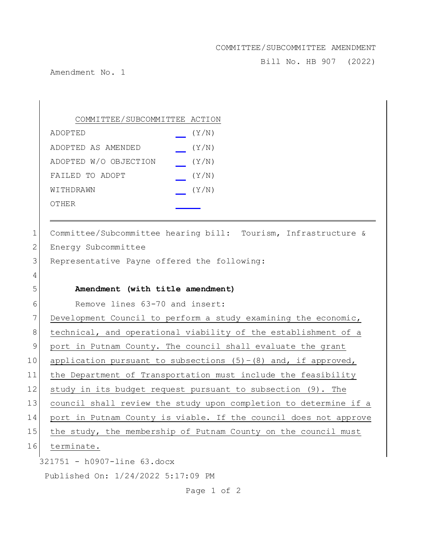## COMMITTEE/SUBCOMMITTEE AMENDMENT

Bill No. HB 907 (2022)

Amendment No. 1

| COMMITTEE/SUBCOMMITTEE ACTION |       |
|-------------------------------|-------|
| ADOPTED                       | (Y/N) |
| ADOPTED AS AMENDED            | (Y/N) |
| ADOPTED W/O OBJECTION         | (Y/N) |
| FAILED TO ADOPT               | (Y/N) |
| WITHDRAWN                     | (Y/N) |
| OTHER                         |       |

1 Committee/Subcommittee hearing bill: Tourism, Infrastructure & 2 Energy Subcommittee 3 Representative Payne offered the following: 4 5 **Amendment (with title amendment)** 6 Remove lines 63-70 and insert: 7 Development Council to perform a study examining the economic, 8 technical, and operational viability of the establishment of a 9 port in Putnam County. The council shall evaluate the grant

10 application pursuant to subsections  $(5)-(8)$  and, if approved,

11 the Department of Transportation must include the feasibility

12 study in its budget request pursuant to subsection (9). The

13 council shall review the study upon completion to determine if a

14 port in Putnam County is viable. If the council does not approve

15 the study, the membership of Putnam County on the council must

16 terminate.

321751 - h0907-line 63.docx

Published On: 1/24/2022 5:17:09 PM

Page 1 of 2